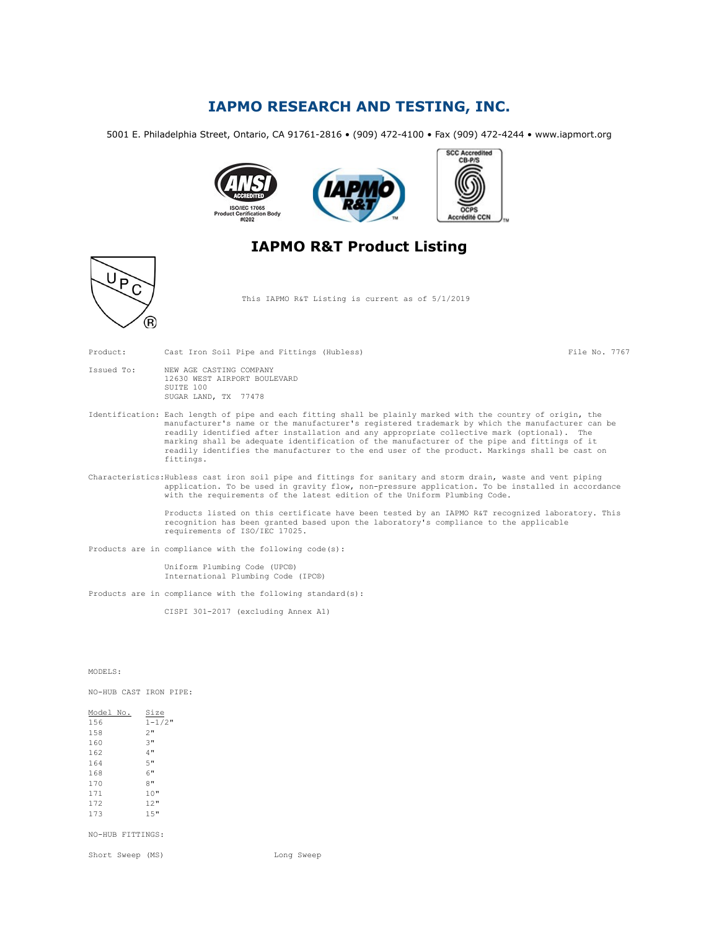## IAPMO RESEARCH AND TESTING, INC.

5001 E. Philadelphia Street, Ontario, CA 91761-2816 • (909) 472-4100 • Fax (909) 472-4244 • www.iapmort.org



## IAPMO R&T Product Listing



This IAPMO R&T Listing is current as of 5/1/2019

Product: Cast Iron Soil Pipe and Fittings (Hubless) File No. 7767

| Issued To: | NEW AGE CASTING COMPANY |  |                              |  |
|------------|-------------------------|--|------------------------------|--|
|            |                         |  | 12630 WEST AIRPORT BOULEVARD |  |
|            | SUITE 100               |  |                              |  |
|            | SUGAR LAND, TX 77478    |  |                              |  |

Identification: Each length of pipe and each fitting shall be plainly marked with the country of origin, the manufacturer's name or the manufacturer's registered trademark by which the manufacturer can be readily identified after installation and any appropriate collective mark (optional). The marking shall be adequate identification of the manufacturer of the pipe and fittings of it readily identifies the manufacturer to the end user of the product. Markings shall be cast on fittings.

Characteristics:Hubless cast iron soil pipe and fittings for sanitary and storm drain, waste and vent piping application. To be used in gravity flow, non-pressure application. To be installed in accordance with the requirements of the latest edition of the Uniform Plumbing Code.

> Products listed on this certificate have been tested by an IAPMO R&T recognized laboratory. This recognition has been granted based upon the laboratory's compliance to the applicable requirements of ISO/IEC 17025.

Products are in compliance with the following code(s):

Uniform Plumbing Code (UPC®) International Plumbing Code (IPC®)

Products are in compliance with the following standard(s):

CISPI 301-2017 (excluding Annex A1)

MODELS:

NO-HUB CAST IRON PIPE:

 $\frac{\text{Model No.}}{156} \quad \frac{\text{Size}}{1-1/2}$  $1 - 1/2$ " 158 2"<br>160 3"  $160$   $3"$ <br> $162$   $4"$ 162 164 5" 168 6"<br>170 8"  $170$ <br> $171$  $10"$ 172 12" 173 15"

NO-HUB FITTINGS:

Short Sweep (MS) and the Long Sweep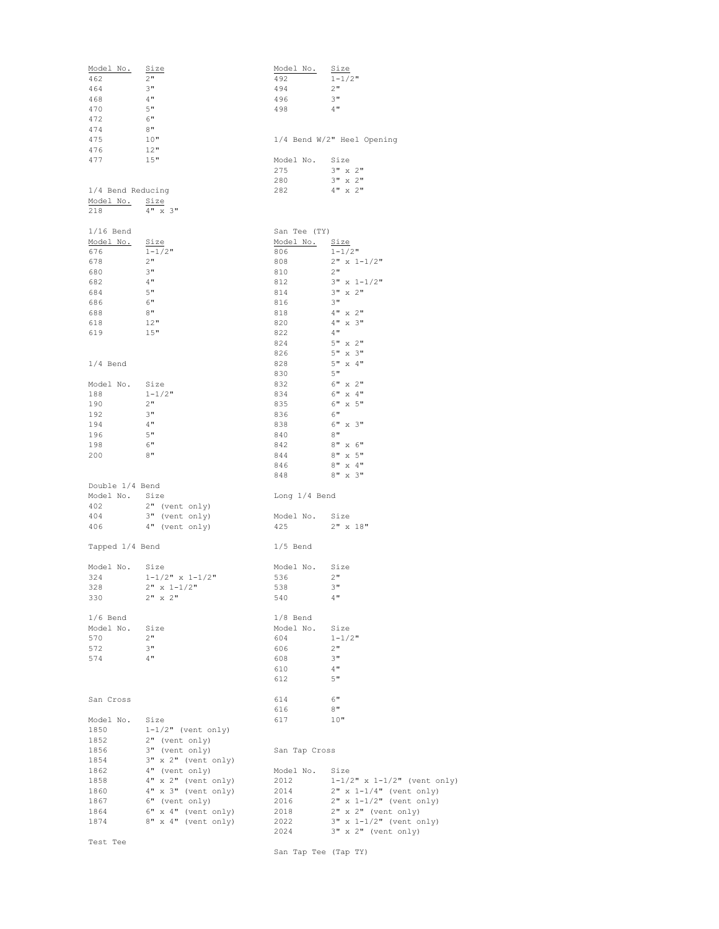| Model No.         | <u>Size</u>               | Model No.            | <u>Size</u>                       |
|-------------------|---------------------------|----------------------|-----------------------------------|
| 462               | 2"                        | 492                  | $1 - 1/2$ "                       |
| 464               | 3"                        | 494                  | 2"                                |
| 468               | 4"                        | 496                  | 3"                                |
| 470               | 5"                        | 498                  | 4"                                |
| 472               | 6"                        |                      |                                   |
| 474               | 8"                        |                      |                                   |
| 475               | 10"                       |                      | 1/4 Bend W/2" Heel Opening        |
| 476               | 12"                       |                      |                                   |
| 477               | 15"                       | Model No. Size       |                                   |
|                   |                           | 275                  | $3" \times 2"$                    |
|                   |                           | 280                  | $3" \times 2"$                    |
| 1/4 Bend Reducing |                           | 282                  | $4" \times 2"$                    |
| Model No.         | Size                      |                      |                                   |
| 218               | $4" \times 3"$            |                      |                                   |
|                   |                           |                      |                                   |
| $1/16$ Bend       |                           | San Tee (TY)         |                                   |
| Model No.         | Size                      | Model No.            | <u>Size</u>                       |
| 676               | $1 - 1/2$ "               | 806                  | $1 - 1/2$ "                       |
| 678               | 2"                        | 808                  | $2" x 1-1/2"$                     |
| 680               | 3"                        | 810                  | 2"                                |
| 682               | 4"                        | 812                  | $3" \times 1-1/2"$                |
| 684               | 5"                        | 814                  | $3" \times 2"$                    |
| 686               | 6"                        | 816                  | 3"                                |
| 688               | 8"                        | 818                  | $4" \times 2"$                    |
| 618               | 12"                       | 820                  | $4" \times 3"$                    |
| 619               | 15"                       | 822                  | 4"                                |
|                   |                           | 824                  | $5" \times 2"$                    |
|                   |                           | 826                  | $5" \times 3"$                    |
| $1/4$ Bend        |                           | 828                  | $5" \times 4"$                    |
|                   |                           | 830                  | 5"                                |
| Model No. Size    |                           | 832                  | $6" \times 2"$                    |
| 188               | $1 - 1/2$ "               | 834                  | $6"$ x $4"$                       |
| 190               | 2"                        | 835                  | $6"$ x $5"$                       |
| 192               | 3"                        | 836                  | 6"                                |
| 194               | 4"                        | 838                  | $6" \times 3"$                    |
| 196               | 5"                        | 840                  | 8"                                |
| 198               | 6"                        | 842                  | $8" \times 6"$                    |
| 200               | 8"                        | 844                  | $8" \times 5"$                    |
|                   |                           | 846                  | $8" \times 4"$                    |
|                   |                           | 848                  | $8" \times 3"$                    |
| Double 1/4 Bend   |                           |                      |                                   |
| Model No. Size    |                           | Long 1/4 Bend        |                                   |
| 402               | $2"$ (vent only)          |                      |                                   |
| 404               | 3" (vent only)            | Model No. Size       |                                   |
| 406               | 4" (vent only)            | 425                  | $2" \times 18"$                   |
|                   |                           |                      |                                   |
| Tapped 1/4 Bend   |                           | $1/5$ Bend           |                                   |
|                   |                           |                      |                                   |
| Model No. Size    |                           | Model No. Size       |                                   |
| 324               | $1 - 1/2$ " x $1 - 1/2$ " | 536                  | 2"                                |
| 328               | $2" x 1-1/2"$             | 538                  | 3"                                |
| 330               | $2$ " x $2$ "             | 540                  | $4$ "                             |
|                   |                           |                      |                                   |
| $1/6$ Bend        |                           | $1/8$ Bend           |                                   |
| Model No.         | Size                      | Model No.            | Size                              |
| 570               | 2"                        | 604                  | $1 - 1/2$ "                       |
| 572               | 3"                        | 606                  | 2"                                |
| 574               | 4"                        | 608                  | 3"                                |
|                   |                           | 610                  | 4"                                |
|                   |                           | 612                  | 5"                                |
|                   |                           |                      |                                   |
| San Cross         |                           | 614                  | 6"                                |
|                   |                           | 616                  | 8"                                |
| Model No.         | Size                      | 617                  | 10"                               |
| 1850              | $1-1/2"$ (vent only)      |                      |                                   |
| 1852              | 2" (vent only)            |                      |                                   |
| 1856              | 3" (vent only)            | San Tap Cross        |                                   |
| 1854              | 3" x 2" (vent only)       |                      |                                   |
| 1862              | 4" (vent only)            | Model No.            | Size                              |
| 1858              | 4" x 2" (vent only)       | 2012                 | $1-1/2$ " x $1-1/2$ " (vent only) |
| 1860              | $4" x 3"$ (vent only)     | 2014                 | $2" x 1-1/4"$ (vent only)         |
| 1867              | 6" (vent only)            | 2016                 | $2" x 1-1/2"$ (vent only)         |
| 1864              | 6" x 4" (vent only)       | 2018                 | 2" x 2" (vent only)               |
| 1874              | 8" x 4" (vent only)       | 2022                 | $3" x 1-1/2"$ (vent only)         |
|                   |                           | 2024                 | 3" x 2" (vent only)               |
| Test Tee          |                           |                      |                                   |
|                   |                           | San Tap Tee (Tap TY) |                                   |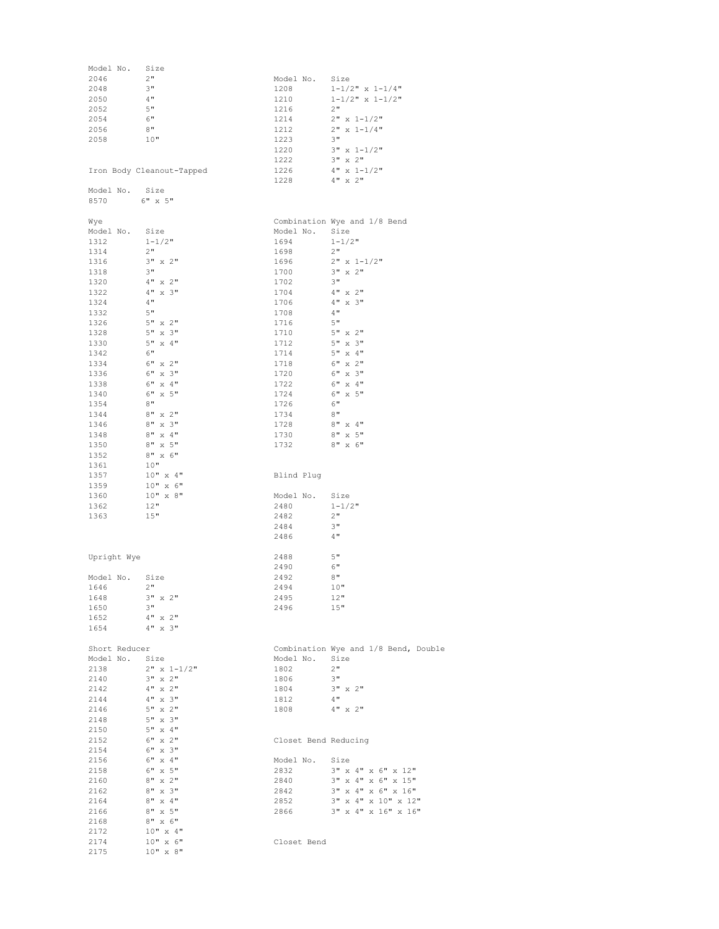| Model No.<br>2046 | Size<br>2"                | Model No.            | Size                                 |
|-------------------|---------------------------|----------------------|--------------------------------------|
| 2048              | 3"                        | 1208                 | $1 - 1/2$ " x $1 - 1/4$ "            |
| 2050              | 4"                        | 1210                 | $1 - 1/2$ " x $1 - 1/2$ "            |
| 2052              | 5"                        | 1216                 | 2"                                   |
| 2054              | 6"                        | 1214                 | $2" x 1-1/2"$                        |
| 2056              | 8"                        | 1212                 | $2" x 1-1/4"$                        |
| 2058              | 10"                       | 1223                 | 3"                                   |
|                   |                           | 1220                 | $3" x 1-1/2"$                        |
|                   |                           | 1222                 | 3" x 2"                              |
|                   | Iron Body Cleanout-Tapped | 1226                 | $4" \times 1-1/2"$                   |
|                   |                           | 1228                 | $4" \times 2"$                       |
| Model No.         | Size                      |                      |                                      |
| 8570              | $6"$ x $5"$               |                      |                                      |
|                   |                           |                      |                                      |
| Wye               |                           |                      | Combination Wye and 1/8 Bend         |
| Model No.         | Size                      | Model No.            | Size                                 |
| 1312              | $1 - 1/2$ "               | 1694                 | $1 - 1/2$ "                          |
| 1314              | 2"                        | 1698                 | 2"                                   |
| 1316              | $3" \times 2"$            | 1696                 | $2" x 1-1/2"$                        |
| 1318              | $3"$                      | 1700                 | 3" x 2"                              |
| 1320              | $4" \times 2"$            | 1702                 | 3"                                   |
| 1322              | $4" \times 3"$            | 1704                 | 4" x 2"                              |
| 1324              | 4"                        | 1706                 | $4" \times 3"$                       |
| 1332              | 5"                        | 1708                 | 4"                                   |
| 1326              | 5" x 2"                   | 1716                 | 5"                                   |
| 1328              | $5" \times 3"$            | 1710                 | $5"$ x $2"$                          |
| 1330              | $5" \times 4"$            | 1712                 | $5" \times 3"$                       |
| 1342              | 6"                        | 1714                 | $5" \times 4"$                       |
| 1334              | $6"$ x $2"$               | 1718                 | $6"$ x $2"$                          |
| 1336              | $6" \times 3"$            | 1720                 | 6" x 3"                              |
| 1338              | 6" x 4"                   | 1722                 | 6" x 4"                              |
| 1340              | $6" \times 5"$            | 1724                 | $6"$ x $5"$                          |
| 1354              | 8"                        | 1726                 | 6"                                   |
| 1344              | $8" \times 2"$            | 1734                 | 8"                                   |
| 1346              | $8" \times 3"$            | 1728                 | 8" x 4"                              |
| 1348              | $8'' \times 4''$          | 1730                 | $8" \times 5"$                       |
| 1350              | 8" x 5"                   | 1732                 | $8" \times 6"$                       |
| 1352              | $8" \times 6"$            |                      |                                      |
| 1361              | 10"                       |                      |                                      |
| 1357              | 10" x 4"                  | Blind Plug           |                                      |
| 1359              | 10" x 6"                  |                      |                                      |
| 1360              | $10" \times 8"$           | Model No.            | Size                                 |
| 1362              | 12"                       | 2480                 | $1 - 1/2$ "                          |
| 1363              | 15"                       | 2482                 | 2"                                   |
|                   |                           | 2484                 | 3"                                   |
|                   |                           | 2486                 | 4"                                   |
| Upright Wye       |                           | 2488                 | 5"                                   |
|                   |                           | 2490                 | 6"                                   |
| Model No.         | Size                      | 2492                 | 8"                                   |
| 1646              | 2"                        | 2494                 | 10"                                  |
| 1648              | 3" x 2"                   | 2495                 | 12"                                  |
| 1650              | 3"                        | 2496                 | 15"                                  |
| 1652              | $4" \times 2"$            |                      |                                      |
| 1654              | $4" \times 3"$            |                      |                                      |
|                   |                           |                      |                                      |
| Short Reducer     |                           |                      | Combination Wye and 1/8 Bend, Double |
| Model No.         | Size                      | Model No.            | Size                                 |
| 2138              | $2" x 1-1/2"$             | 1802                 | 2"                                   |
| 2140              | $3" \times 2"$            | 1806                 | 3"                                   |
| 2142              | $4" \times 2"$            | 1804                 | $3" \times 2"$                       |
| 2144              | $4" \times 3"$            | 1812                 | 4"                                   |
| 2146              | $5" \times 2"$            | 1808                 | $4" \times 2"$                       |
| 2148              | 5" x 3"                   |                      |                                      |
| 2150              | $5" \times 4"$            |                      |                                      |
| 2152              | $6" \times 2"$            | Closet Bend Reducing |                                      |
| 2154              | $6" \times 3"$            |                      |                                      |
| 2156              | $6" \times 4"$            | Model No.            | Size                                 |
| 2158              | $6"$ x $5"$               | 2832                 | $3"$ x $4"$ x $6"$ x $12"$           |
| 2160              | $8" \times 2"$            | 2840                 | 3" x 4" x 6" x 15"                   |
|                   | $8" \times 3"$            | 2842                 | 3" x 4" x 6" x 16"                   |
|                   |                           |                      |                                      |
| 2162<br>2164      | $8" \times 4"$            | 2852                 | 3" x 4" x 10" x 12"                  |
| 2166              | $8" \times 5"$            | 2866                 | 3" x 4" x 16" x 16"                  |
| 2168              | $8" \times 6"$            |                      |                                      |
| 2172              | $10" \times 4"$           |                      |                                      |
| 2174              | 10" x 6"                  | Closet Bend          |                                      |